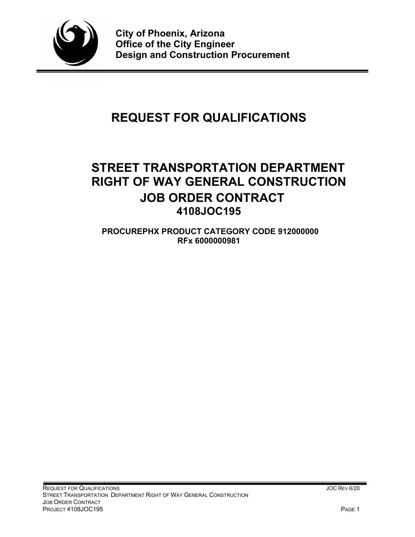

# **REQUEST FOR QUALIFICATIONS**

# **STREET TRANSPORTATION DEPARTMENT RIGHT OF WAY GENERAL CONSTRUCTION JOB ORDER CONTRACT 4108JOC195**

**PROCUREPHX PRODUCT CATEGORY CODE 912000000 RFx 6000000981**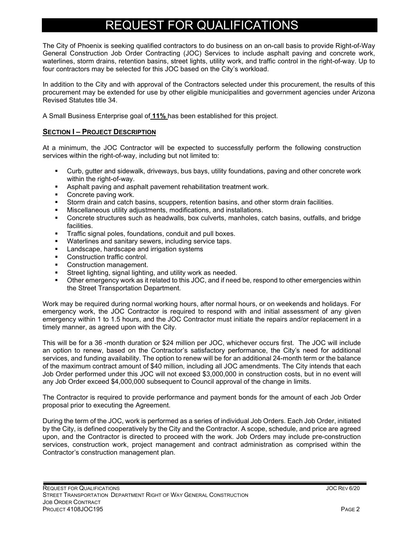# REQUEST FOR QUALIFICATIONS

The City of Phoenix is seeking qualified contractors to do business on an on-call basis to provide Right-of-Way General Construction Job Order Contracting (JOC) Services to include asphalt paving and concrete work, waterlines, storm drains, retention basins, street lights, utility work, and traffic control in the right-of-way. Up to four contractors may be selected for this JOC based on the City's workload.

In addition to the City and with approval of the Contractors selected under this procurement, the results of this procurement may be extended for use by other eligible municipalities and government agencies under Arizona Revised Statutes title 34.

A Small Business Enterprise goal of **11%** has been established for this project.

# **SECTION I – PROJECT DESCRIPTION**

At a minimum, the JOC Contractor will be expected to successfully perform the following construction services within the right-of-way, including but not limited to:

- Curb, gutter and sidewalk, driveways, bus bays, utility foundations, paving and other concrete work within the right-of-way.
- Asphalt paving and asphalt pavement rehabilitation treatment work.
- Concrete paving work.
- Storm drain and catch basins, scuppers, retention basins, and other storm drain facilities.
- Miscellaneous utility adjustments, modifications, and installations.
- Concrete structures such as headwalls, box culverts, manholes, catch basins, outfalls, and bridge facilities.
- Traffic signal poles, foundations, conduit and pull boxes.
- Waterlines and sanitary sewers, including service taps.
- **Landscape, hardscape and irrigation systems**
- Construction traffic control.
- **Construction management.**
- Street lighting, signal lighting, and utility work as needed.
- Other emergency work as it related to this JOC, and if need be, respond to other emergencies within the Street Transportation Department.

Work may be required during normal working hours, after normal hours, or on weekends and holidays. For emergency work, the JOC Contractor is required to respond with and initial assessment of any given emergency within 1 to 1.5 hours, and the JOC Contractor must initiate the repairs and/or replacement in a timely manner, as agreed upon with the City.

This will be for a 36 -month duration or \$24 million per JOC, whichever occurs first. The JOC will include an option to renew, based on the Contractor's satisfactory performance, the City's need for additional services, and funding availability. The option to renew will be for an additional 24-month term or the balance of the maximum contract amount of \$40 million, including all JOC amendments. The City intends that each Job Order performed under this JOC will not exceed \$3,000,000 in construction costs, but in no event will any Job Order exceed \$4,000,000 subsequent to Council approval of the change in limits.

The Contractor is required to provide performance and payment bonds for the amount of each Job Order proposal prior to executing the Agreement.

During the term of the JOC, work is performed as a series of individual Job Orders. Each Job Order, initiated by the City, is defined cooperatively by the City and the Contractor. A scope, schedule, and price are agreed upon, and the Contractor is directed to proceed with the work. Job Orders may include pre-construction services, construction work, project management and contract administration as comprised within the Contractor's construction management plan.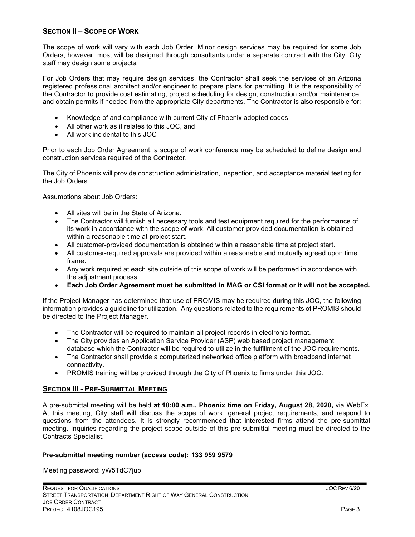# **SECTION II – SCOPE OF WORK**

The scope of work will vary with each Job Order. Minor design services may be required for some Job Orders, however, most will be designed through consultants under a separate contract with the City. City staff may design some projects.

For Job Orders that may require design services, the Contractor shall seek the services of an Arizona registered professional architect and/or engineer to prepare plans for permitting. It is the responsibility of the Contractor to provide cost estimating, project scheduling for design, construction and/or maintenance, and obtain permits if needed from the appropriate City departments. The Contractor is also responsible for:

- Knowledge of and compliance with current City of Phoenix adopted codes
- All other work as it relates to this JOC, and
- All work incidental to this JOC

Prior to each Job Order Agreement, a scope of work conference may be scheduled to define design and construction services required of the Contractor.

The City of Phoenix will provide construction administration, inspection, and acceptance material testing for the Job Orders.

Assumptions about Job Orders:

- All sites will be in the State of Arizona.
- The Contractor will furnish all necessary tools and test equipment required for the performance of its work in accordance with the scope of work. All customer-provided documentation is obtained within a reasonable time at project start.
- All customer-provided documentation is obtained within a reasonable time at project start.
- All customer-required approvals are provided within a reasonable and mutually agreed upon time frame.
- Any work required at each site outside of this scope of work will be performed in accordance with the adjustment process.
- **Each Job Order Agreement must be submitted in MAG or CSI format or it will not be accepted.**

If the Project Manager has determined that use of PROMIS may be required during this JOC, the following information provides a guideline for utilization. Any questions related to the requirements of PROMIS should be directed to the Project Manager.

- The Contractor will be required to maintain all project records in electronic format.
- The City provides an Application Service Provider (ASP) web based project management database which the Contractor will be required to utilize in the fulfillment of the JOC requirements.
- The Contractor shall provide a computerized networked office platform with broadband internet connectivity.
- PROMIS training will be provided through the City of Phoenix to firms under this JOC.

## **SECTION III - PRE-SUBMITTAL MEETING**

A pre-submittal meeting will be held **at 10:00 a.m., Phoenix time on Friday, August 28, 2020,** via WebEx. At this meeting, City staff will discuss the scope of work, general project requirements, and respond to questions from the attendees. It is strongly recommended that interested firms attend the pre-submittal meeting. Inquiries regarding the project scope outside of this pre-submittal meeting must be directed to the Contracts Specialist.

## **Pre-submittal meeting number (access code): 133 959 9579**

Meeting password: yW5TdC7jup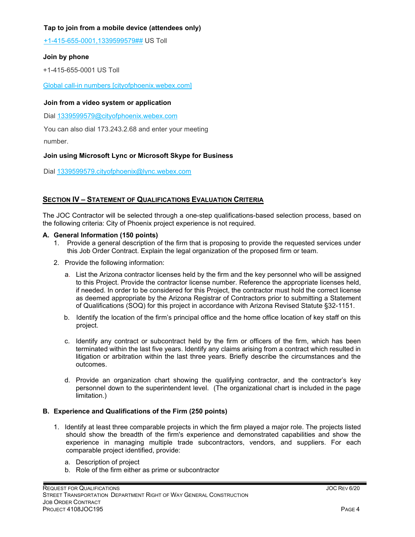# **Tap to join from a mobile device (attendees only)**

[+1-415-655-0001,1339599579##](tel:%2B1-415-655-0001,,*01*1339599579%23%23*01*) US Toll

# **Join by phone**

+1-415-655-0001 US Toll

[Global call-in numbers \[cityofphoenix.webex.com\]](https://urldefense.com/v3/__https:/cityofphoenix.webex.com/cityofphoenix/globalcallin.php?MTID=me0a40ac657618d641b7397dcf9989f38__;!!LkjWUF49MRd51_ry!O4iGV3HMYs8yaC-3iNdy7lI5xm4OuPifOf1PoiJYuyoV8tEvEmioHNA5bU6ZXo-05xgw5uc0p_4$)

# **Join from a video system or application**

Dial 1339599579@cityofphoenix.webex.com

You can also dial 173.243.2.68 and enter your meeting

number.

# **Join using Microsoft Lync or Microsoft Skype for Business**

Dial 1339599579.cityofphoenix@lync.webex.com

# **SECTION IV – STATEMENT OF QUALIFICATIONS EVALUATION CRITERIA**

The JOC Contractor will be selected through a one-step qualifications-based selection process, based on the following criteria: City of Phoenix project experience is not required.

# **A. General Information (150 points)**

- 1. Provide a general description of the firm that is proposing to provide the requested services under this Job Order Contract. Explain the legal organization of the proposed firm or team.
- 2. Provide the following information:
	- a. List the Arizona contractor licenses held by the firm and the key personnel who will be assigned to this Project. Provide the contractor license number. Reference the appropriate licenses held, if needed. In order to be considered for this Project, the contractor must hold the correct license as deemed appropriate by the Arizona Registrar of Contractors prior to submitting a Statement of Qualifications (SOQ) for this project in accordance with Arizona Revised Statute §32-1151.
	- b. Identify the location of the firm's principal office and the home office location of key staff on this project.
	- c. Identify any contract or subcontract held by the firm or officers of the firm, which has been terminated within the last five years. Identify any claims arising from a contract which resulted in litigation or arbitration within the last three years. Briefly describe the circumstances and the outcomes.
	- d. Provide an organization chart showing the qualifying contractor, and the contractor's key personnel down to the superintendent level. (The organizational chart is included in the page limitation.)

# **B. Experience and Qualifications of the Firm (250 points)**

- 1. Identify at least three comparable projects in which the firm played a major role. The projects listed should show the breadth of the firm's experience and demonstrated capabilities and show the experience in managing multiple trade subcontractors, vendors, and suppliers. For each comparable project identified, provide:
	- a. Description of project
	- b. Role of the firm either as prime or subcontractor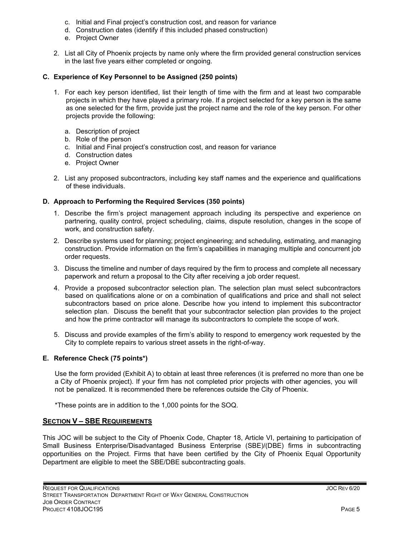- c. Initial and Final project's construction cost, and reason for variance
- d. Construction dates (identify if this included phased construction)
- e. Project Owner
- 2. List all City of Phoenix projects by name only where the firm provided general construction services in the last five years either completed or ongoing.

# **C. Experience of Key Personnel to be Assigned (250 points)**

- 1. For each key person identified, list their length of time with the firm and at least two comparable projects in which they have played a primary role. If a project selected for a key person is the same as one selected for the firm, provide just the project name and the role of the key person. For other projects provide the following:
	- a. Description of project
	- b. Role of the person
	- c. Initial and Final project's construction cost, and reason for variance
	- d. Construction dates
	- e. Project Owner
- 2. List any proposed subcontractors, including key staff names and the experience and qualifications of these individuals.

# **D. Approach to Performing the Required Services (350 points)**

- 1. Describe the firm's project management approach including its perspective and experience on partnering, quality control, project scheduling, claims, dispute resolution, changes in the scope of work, and construction safety.
- 2. Describe systems used for planning; project engineering; and scheduling, estimating, and managing construction. Provide information on the firm's capabilities in managing multiple and concurrent job order requests.
- 3. Discuss the timeline and number of days required by the firm to process and complete all necessary paperwork and return a proposal to the City after receiving a job order request.
- 4. Provide a proposed subcontractor selection plan. The selection plan must select subcontractors based on qualifications alone or on a combination of qualifications and price and shall not select subcontractors based on price alone. Describe how you intend to implement this subcontractor selection plan. Discuss the benefit that your subcontractor selection plan provides to the project and how the prime contractor will manage its subcontractors to complete the scope of work.
- 5. Discuss and provide examples of the firm's ability to respond to emergency work requested by the City to complete repairs to various street assets in the right-of-way.

# **E. Reference Check (75 points\*)**

Use the form provided (Exhibit A) to obtain at least three references (it is preferred no more than one be a City of Phoenix project). If your firm has not completed prior projects with other agencies, you will not be penalized. It is recommended there be references outside the City of Phoenix.

\*These points are in addition to the 1,000 points for the SOQ.

# **SECTION V – SBE REQUIREMENTS**

This JOC will be subject to the City of Phoenix Code, Chapter 18, Article VI, pertaining to participation of Small Business Enterprise/Disadvantaged Business Enterprise (SBE)/(DBE) firms in subcontracting opportunities on the Project. Firms that have been certified by the City of Phoenix Equal Opportunity Department are eligible to meet the SBE/DBE subcontracting goals.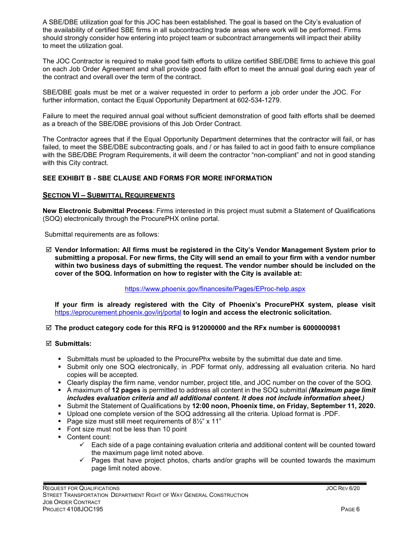A SBE/DBE utilization goal for this JOC has been established. The goal is based on the City's evaluation of the availability of certified SBE firms in all subcontracting trade areas where work will be performed. Firms should strongly consider how entering into project team or subcontract arrangements will impact their ability to meet the utilization goal.

The JOC Contractor is required to make good faith efforts to utilize certified SBE/DBE firms to achieve this goal on each Job Order Agreement and shall provide good faith effort to meet the annual goal during each year of the contract and overall over the term of the contract.

SBE/DBE goals must be met or a waiver requested in order to perform a job order under the JOC. For further information, contact the Equal Opportunity Department at 602-534-1279.

Failure to meet the required annual goal without sufficient demonstration of good faith efforts shall be deemed as a breach of the SBE/DBE provisions of this Job Order Contract.

The Contractor agrees that if the Equal Opportunity Department determines that the contractor will fail, or has failed, to meet the SBE/DBE subcontracting goals, and / or has failed to act in good faith to ensure compliance with the SBE/DBE Program Requirements, it will deem the contractor "non-compliant" and not in good standing with this City contract.

# **SEE EXHIBIT B - SBE CLAUSE AND FORMS FOR MORE INFORMATION**

# **SECTION VI – SUBMITTAL REQUIREMENTS**

**New Electronic Submittal Process**: Firms interested in this project must submit a Statement of Qualifications (SOQ) electronically through the ProcurePHX online portal.

Submittal requirements are as follows:

 **Vendor Information: All firms must be registered in the City's Vendor Management System prior to submitting a proposal. For new firms, the City will send an email to your firm with a vendor number within two business days of submitting the request. The vendor number should be included on the cover of the SOQ. Information on how to register with the City is available at:** 

## <https://www.phoenix.gov/financesite/Pages/EProc-help.aspx>

**If your firm is already registered with the City of Phoenix's ProcurePHX system, please visit**  <https://eprocurement.phoenix.gov/irj/portal> **to login and access the electronic solicitation.**

## **The product category code for this RFQ is 912000000 and the RFx number is 6000000981**

## **Submittals:**

- **Submittals must be uploaded to the ProcurePhx website by the submittal due date and time.**
- **Submit only one SOQ electronically, in .PDF format only, addressing all evaluation criteria. No hard** copies will be accepted.
- Clearly display the firm name, vendor number, project title, and JOC number on the cover of the SOQ.
- A maximum of **12 pages** is permitted to address all content in the SOQ submittal *(Maximum page limit includes evaluation criteria and all additional content. It does not include information sheet.)*
- Submit the Statement of Qualifications by **12:00 noon, Phoenix time, on Friday, September 11, 2020.**
- Upload one complete version of the SOQ addressing all the criteria. Upload format is .PDF.
- Page size must still meet requirements of  $8\frac{1}{2}$ " x 11"
- Font size must not be less than 10 point
- Content count:
	- $\checkmark$  Each side of a page containing evaluation criteria and additional content will be counted toward the maximum page limit noted above.
	- $\checkmark$  Pages that have project photos, charts and/or graphs will be counted towards the maximum page limit noted above.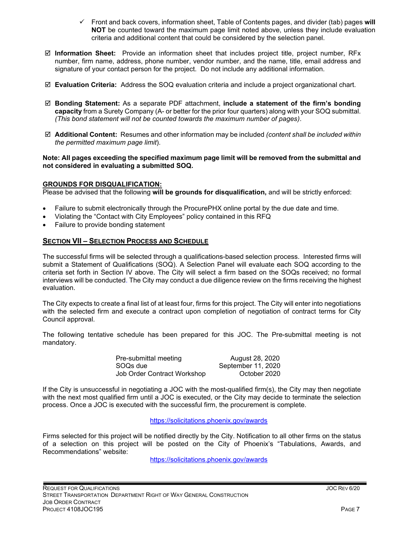- Front and back covers, information sheet, Table of Contents pages, and divider (tab) pages **will NOT** be counted toward the maximum page limit noted above, unless they include evaluation criteria and additional content that could be considered by the selection panel.
- **Information Sheet:** Provide an information sheet that includes project title, project number, RFx number, firm name, address, phone number, vendor number, and the name, title, email address and signature of your contact person for the project. Do not include any additional information.
- **Evaluation Criteria:** Address the SOQ evaluation criteria and include a project organizational chart.
- **Bonding Statement:** As a separate PDF attachment, **include a statement of the firm's bonding capacity** from a Surety Company (A- or better for the prior four quarters) along with your SOQ submittal. *(This bond statement will not be counted towards the maximum number of pages)*.
- **Additional Content:** Resumes and other information may be included *(content shall be included within the permitted maximum page limit*).

# **Note: All pages exceeding the specified maximum page limit will be removed from the submittal and not considered in evaluating a submitted SOQ.**

# **GROUNDS FOR DISQUALIFICATION:**

Please be advised that the following **will be grounds for disqualification,** and will be strictly enforced:

- Failure to submit electronically through the ProcurePHX online portal by the due date and time.
- Violating the "Contact with City Employees" policy contained in this RFQ
- Failure to provide bonding statement

# **SECTION VII – SELECTION PROCESS AND SCHEDULE**

The successful firms will be selected through a qualifications-based selection process. Interested firms will submit a Statement of Qualifications (SOQ). A Selection Panel will evaluate each SOQ according to the criteria set forth in Section IV above. The City will select a firm based on the SOQs received; no formal interviews will be conducted. The City may conduct a due diligence review on the firms receiving the highest evaluation.

The City expects to create a final list of at least four, firms for this project. The City will enter into negotiations with the selected firm and execute a contract upon completion of negotiation of contract terms for City Council approval.

The following tentative schedule has been prepared for this JOC. The Pre-submittal meeting is not mandatory.

| Pre-submittal meeting       | August 28, 2020    |
|-----------------------------|--------------------|
| SOQs due                    | September 11, 2020 |
| Job Order Contract Workshop | October 2020       |

If the City is unsuccessful in negotiating a JOC with the most-qualified firm(s), the City may then negotiate with the next most qualified firm until a JOC is executed, or the City may decide to terminate the selection process. Once a JOC is executed with the successful firm, the procurement is complete.

<https://solicitations.phoenix.gov/awards>

Firms selected for this project will be notified directly by the City. Notification to all other firms on the status of a selection on this project will be posted on the City of Phoenix's "Tabulations, Awards, and Recommendations" website:

<https://solicitations.phoenix.gov/awards>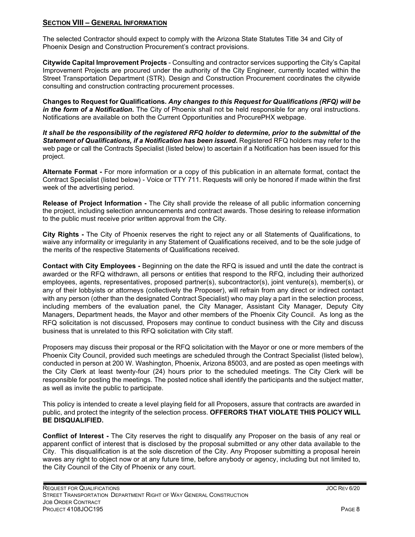# **SECTION VIII – GENERAL INFORMATION**

The selected Contractor should expect to comply with the Arizona State Statutes Title 34 and City of Phoenix Design and Construction Procurement's contract provisions.

**Citywide Capital Improvement Projects** - Consulting and contractor services supporting the City's Capital Improvement Projects are procured under the authority of the City Engineer, currently located within the Street Transportation Department (STR). Design and Construction Procurement coordinates the citywide consulting and construction contracting procurement processes.

**Changes to Request for Qualifications.** *Any changes to this Request for Qualifications (RFQ) will be in the form of a Notification.* The City of Phoenix shall not be held responsible for any oral instructions. Notifications are available on both the Current Opportunities and ProcurePHX webpage.

*It shall be the responsibility of the registered RFQ holder to determine, prior to the submittal of the Statement of Qualifications, if a Notification has been issued***.** Registered RFQ holders may refer to the web page or call the Contracts Specialist (listed below) to ascertain if a Notification has been issued for this project.

**Alternate Format -** For more information or a copy of this publication in an alternate format, contact the Contract Specialist (listed below) - Voice or TTY 711. Requests will only be honored if made within the first week of the advertising period.

**Release of Project Information -** The City shall provide the release of all public information concerning the project, including selection announcements and contract awards. Those desiring to release information to the public must receive prior written approval from the City.

**City Rights -** The City of Phoenix reserves the right to reject any or all Statements of Qualifications, to waive any informality or irregularity in any Statement of Qualifications received, and to be the sole judge of the merits of the respective Statements of Qualifications received.

**Contact with City Employees -** Beginning on the date the RFQ is issued and until the date the contract is awarded or the RFQ withdrawn, all persons or entities that respond to the RFQ, including their authorized employees, agents, representatives, proposed partner(s), subcontractor(s), joint venture(s), member(s), or any of their lobbyists or attorneys (collectively the Proposer), will refrain from any direct or indirect contact with any person (other than the designated Contract Specialist) who may play a part in the selection process, including members of the evaluation panel, the City Manager, Assistant City Manager, Deputy City Managers, Department heads, the Mayor and other members of the Phoenix City Council. As long as the RFQ solicitation is not discussed, Proposers may continue to conduct business with the City and discuss business that is unrelated to this RFQ solicitation with City staff.

Proposers may discuss their proposal or the RFQ solicitation with the Mayor or one or more members of the Phoenix City Council, provided such meetings are scheduled through the Contract Specialist (listed below), conducted in person at 200 W. Washington, Phoenix, Arizona 85003, and are posted as open meetings with the City Clerk at least twenty-four (24) hours prior to the scheduled meetings. The City Clerk will be responsible for posting the meetings. The posted notice shall identify the participants and the subject matter, as well as invite the public to participate.

This policy is intended to create a level playing field for all Proposers, assure that contracts are awarded in public, and protect the integrity of the selection process. **OFFERORS THAT VIOLATE THIS POLICY WILL BE DISQUALIFIED.**

**Conflict of Interest -** The City reserves the right to disqualify any Proposer on the basis of any real or apparent conflict of interest that is disclosed by the proposal submitted or any other data available to the City. This disqualification is at the sole discretion of the City. Any Proposer submitting a proposal herein waves any right to object now or at any future time, before anybody or agency, including but not limited to, the City Council of the City of Phoenix or any court.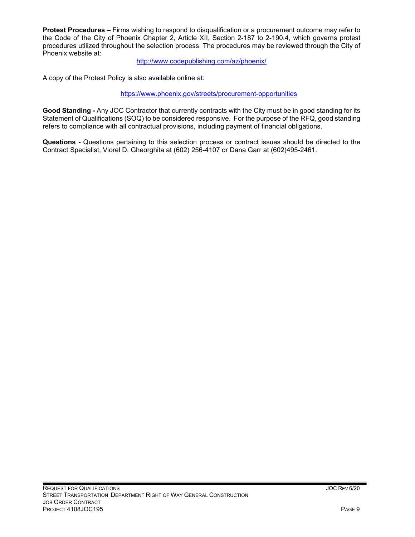**Protest Procedures –** Firms wishing to respond to disqualification or a procurement outcome may refer to the Code of the City of Phoenix Chapter 2, Article XII, Section 2-187 to 2-190.4, which governs protest procedures utilized throughout the selection process. The procedures may be reviewed through the City of Phoenix website at:

<http://www.codepublishing.com/az/phoenix/>

A copy of the Protest Policy is also available online at:

<https://www.phoenix.gov/streets/procurement-opportunities>

**Good Standing -** Any JOC Contractor that currently contracts with the City must be in good standing for its Statement of Qualifications (SOQ) to be considered responsive. For the purpose of the RFQ, good standing refers to compliance with all contractual provisions, including payment of financial obligations.

**Questions -** Questions pertaining to this selection process or contract issues should be directed to the Contract Specialist, Viorel D. Gheorghita at (602) 256-4107 or Dana Garr at (602)495-2461.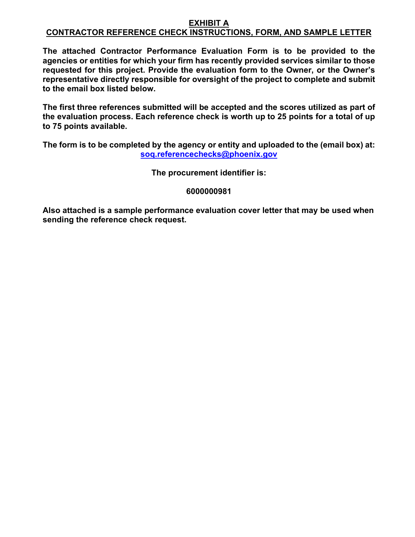# **EXHIBIT A CONTRACTOR REFERENCE CHECK INSTRUCTIONS, FORM, AND SAMPLE LETTER**

**The attached Contractor Performance Evaluation Form is to be provided to the agencies or entities for which your firm has recently provided services similar to those requested for this project. Provide the evaluation form to the Owner, or the Owner's representative directly responsible for oversight of the project to complete and submit to the email box listed below.**

**The first three references submitted will be accepted and the scores utilized as part of the evaluation process. Each reference check is worth up to 25 points for a total of up to 75 points available.**

**The form is to be completed by the agency or entity and uploaded to the (email box) at: [soq.referencechecks@phoenix.gov](mailto:soq.referencechecks@phoenix.gov)**

**The procurement identifier is:**

# **6000000981**

**Also attached is a sample performance evaluation cover letter that may be used when sending the reference check request.**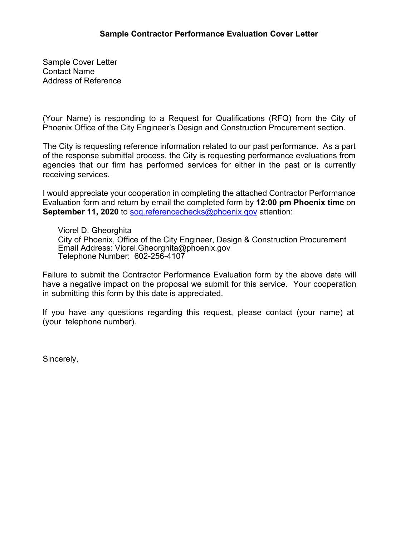Sample Cover Letter Contact Name Address of Reference

(Your Name) is responding to a Request for Qualifications (RFQ) from the City of Phoenix Office of the City Engineer's Design and Construction Procurement section.

The City is requesting reference information related to our past performance. As a part of the response submittal process, the City is requesting performance evaluations from agencies that our firm has performed services for either in the past or is currently receiving services.

I would appreciate your cooperation in completing the attached Contractor Performance Evaluation form and return by email the completed form by **12:00 pm Phoenix time** on **September 11, 2020** to sog.referencechecks@phoenix.gov attention:

Viorel D. Gheorghita City of Phoenix, Office of the City Engineer, Design & Construction Procurement Email Address: Viorel.Gheorghita@phoenix.gov Telephone Number: 602-256-4107

Failure to submit the Contractor Performance Evaluation form by the above date will have a negative impact on the proposal we submit for this service. Your cooperation in submitting this form by this date is appreciated.

If you have any questions regarding this request, please contact (your name) at (your telephone number).

Sincerely,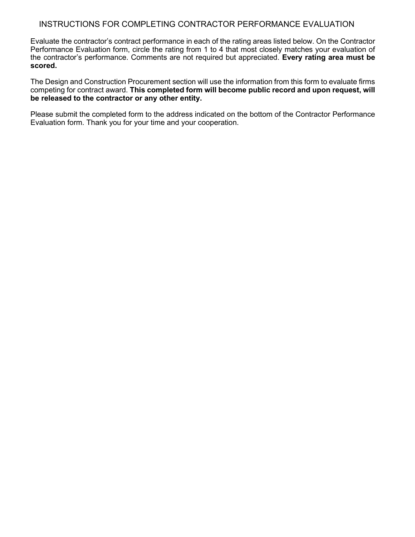# INSTRUCTIONS FOR COMPLETING CONTRACTOR PERFORMANCE EVALUATION

Evaluate the contractor's contract performance in each of the rating areas listed below. On the Contractor Performance Evaluation form, circle the rating from 1 to 4 that most closely matches your evaluation of the contractor's performance. Comments are not required but appreciated. **Every rating area must be scored.** 

The Design and Construction Procurement section will use the information from this form to evaluate firms competing for contract award. **This completed form will become public record and upon request, will be released to the contractor or any other entity.**

Please submit the completed form to the address indicated on the bottom of the Contractor Performance Evaluation form. Thank you for your time and your cooperation.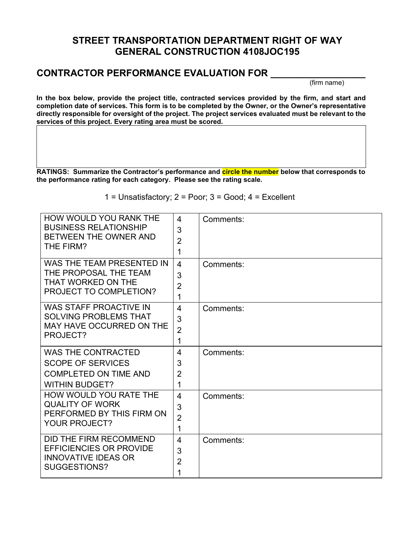# **STREET TRANSPORTATION DEPARTMENT RIGHT OF WAY GENERAL CONSTRUCTION 4108JOC195**

# **CONTRACTOR PERFORMANCE EVALUATION FOR \_\_\_\_\_\_\_\_\_\_\_\_\_\_\_\_\_\_**

(firm name)

**In the box below, provide the project title, contracted services provided by the firm, and start and completion date of services. This form is to be completed by the Owner, or the Owner's representative directly responsible for oversight of the project. The project services evaluated must be relevant to the services of this project. Every rating area must be scored.**

**RATINGS: Summarize the Contractor's performance and circle the number below that corresponds to the performance rating for each category. Please see the rating scale.**

1 = Unsatisfactory;  $2 = Poor$ ;  $3 = Good$ ;  $4 = Excellent$ 

| HOW WOULD YOU RANK THE<br><b>BUSINESS RELATIONSHIP</b><br>BETWEEN THE OWNER AND<br>THE FIRM?                   | $\overline{4}$<br>3<br>$\overline{2}$<br>1          | Comments: |
|----------------------------------------------------------------------------------------------------------------|-----------------------------------------------------|-----------|
| WAS THE TEAM PRESENTED IN<br>THE PROPOSAL THE TEAM<br>THAT WORKED ON THE<br>PROJECT TO COMPLETION?             | $\overline{4}$<br>3<br>$\overline{2}$<br>1          | Comments: |
| <b>WAS STAFF PROACTIVE IN</b><br><b>SOLVING PROBLEMS THAT</b><br>MAY HAVE OCCURRED ON THE<br>PROJECT?          | $\overline{\mathbf{4}}$<br>3<br>$\overline{2}$<br>1 | Comments: |
| <b>WAS THE CONTRACTED</b><br><b>SCOPE OF SERVICES</b><br><b>COMPLETED ON TIME AND</b><br><b>WITHIN BUDGET?</b> | $\overline{4}$<br>3<br>$\overline{2}$<br>1          | Comments: |
| HOW WOULD YOU RATE THE<br><b>QUALITY OF WORK</b><br>PERFORMED BY THIS FIRM ON<br><b>YOUR PROJECT?</b>          | $\overline{4}$<br>3<br>$\overline{2}$<br>1          | Comments: |
| DID THE FIRM RECOMMEND<br><b>EFFICIENCIES OR PROVIDE</b><br><b>INNOVATIVE IDEAS OR</b><br>SUGGESTIONS?         | $\overline{4}$<br>3<br>$\overline{2}$<br>1          | Comments: |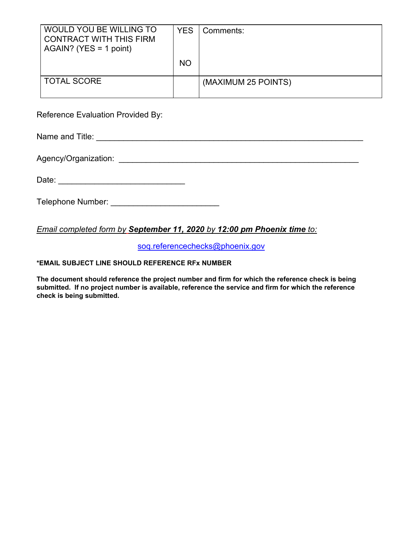| WOULD YOU BE WILLING TO<br><b>CONTRACT WITH THIS FIRM</b><br>$AGAIN?$ (YES = 1 point) | <b>YES</b> | Comments:           |
|---------------------------------------------------------------------------------------|------------|---------------------|
|                                                                                       | <b>NO</b>  |                     |
| <b>TOTAL SCORE</b>                                                                    |            | (MAXIMUM 25 POINTS) |

Reference Evaluation Provided By:

Name and Title: \_\_\_\_\_\_\_\_\_\_\_\_\_\_\_\_\_\_\_\_\_\_\_\_\_\_\_\_\_\_\_\_\_\_\_\_\_\_\_\_\_\_\_\_\_\_\_\_\_\_\_\_\_\_\_\_\_\_\_

Agency/Organization: \_\_\_\_\_\_\_\_\_\_\_\_\_\_\_\_\_\_\_\_\_\_\_\_\_\_\_\_\_\_\_\_\_\_\_\_\_\_\_\_\_\_\_\_\_\_\_\_\_\_\_\_\_

Telephone Number: \_\_\_\_\_\_\_\_\_\_\_\_\_\_\_\_\_\_\_\_\_\_\_\_

# *Email completed form by September 11, 2020 by 12:00 pm Phoenix time to:*

[soq.referencechecks@phoenix.gov](mailto:soq.referencechecks@phoenix.gov)

# **\*EMAIL SUBJECT LINE SHOULD REFERENCE RFx NUMBER**

**The document should reference the project number and firm for which the reference check is being submitted. If no project number is available, reference the service and firm for which the reference check is being submitted.**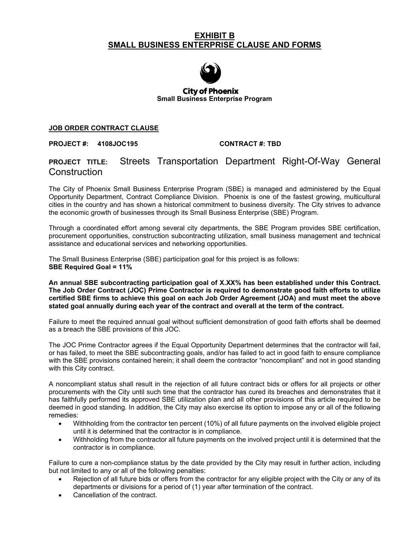# **EXHIBIT B SMALL BUSINESS ENTERPRISE CLAUSE AND FORMS**



**City of Phoenix Small Business Enterprise Program**

# **JOB ORDER CONTRACT CLAUSE**

**PROJECT #: 4108JOC195 CONTRACT #: TBD**

# **PROJECT TITLE:** Streets Transportation Department Right-Of-Way General **Construction**

The City of Phoenix Small Business Enterprise Program (SBE) is managed and administered by the Equal Opportunity Department, Contract Compliance Division. Phoenix is one of the fastest growing, multicultural cities in the country and has shown a historical commitment to business diversity. The City strives to advance the economic growth of businesses through its Small Business Enterprise (SBE) Program.

Through a coordinated effort among several city departments, the SBE Program provides SBE certification, procurement opportunities, construction subcontracting utilization, small business management and technical assistance and educational services and networking opportunities.

The Small Business Enterprise (SBE) participation goal for this project is as follows: **SBE Required Goal = 11%**

**An annual SBE subcontracting participation goal of X.XX% has been established under this Contract. The Job Order Contract (JOC) Prime Contractor is required to demonstrate good faith efforts to utilize certified SBE firms to achieve this goal on each Job Order Agreement (JOA) and must meet the above stated goal annually during each year of the contract and overall at the term of the contract.**

Failure to meet the required annual goal without sufficient demonstration of good faith efforts shall be deemed as a breach the SBE provisions of this JOC.

The JOC Prime Contractor agrees if the Equal Opportunity Department determines that the contractor will fail, or has failed, to meet the SBE subcontracting goals, and/or has failed to act in good faith to ensure compliance with the SBE provisions contained herein; it shall deem the contractor "noncompliant" and not in good standing with this City contract.

A noncompliant status shall result in the rejection of all future contract bids or offers for all projects or other procurements with the City until such time that the contractor has cured its breaches and demonstrates that it has faithfully performed its approved SBE utilization plan and all other provisions of this article required to be deemed in good standing. In addition, the City may also exercise its option to impose any or all of the following remedies:

- Withholding from the contractor ten percent (10%) of all future payments on the involved eligible project until it is determined that the contractor is in compliance.
- Withholding from the contractor all future payments on the involved project until it is determined that the contractor is in compliance.

Failure to cure a non-compliance status by the date provided by the City may result in further action, including but not limited to any or all of the following penalties:

- Rejection of all future bids or offers from the contractor for any eligible project with the City or any of its departments or divisions for a period of (1) year after termination of the contract.
- Cancellation of the contract.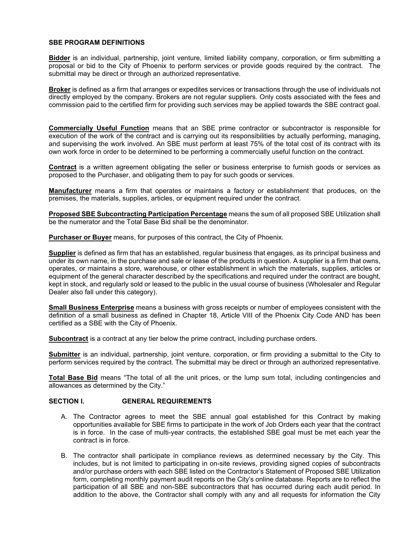## **SBE PROGRAM DEFINITIONS**

**Bidder** is an individual, partnership, joint venture, limited liability company, corporation, or firm submitting a proposal or bid to the City of Phoenix to perform services or provide goods required by the contract. The submittal may be direct or through an authorized representative.

**Broker** is defined as a firm that arranges or expedites services or transactions through the use of individuals not directly employed by the company. Brokers are not regular suppliers. Only costs associated with the fees and commission paid to the certified firm for providing such services may be applied towards the SBE contract goal.

**Commercially Useful Function** means that an SBE prime contractor or subcontractor is responsible for execution of the work of the contract and is carrying out its responsibilities by actually performing, managing, and supervising the work involved. An SBE must perform at least 75% of the total cost of its contract with its own work force in order to be determined to be performing a commercially useful function on the contract.

**Contract** is a written agreement obligating the seller or business enterprise to furnish goods or services as proposed to the Purchaser, and obligating them to pay for such goods or services.

**Manufacturer** means a firm that operates or maintains a factory or establishment that produces, on the premises, the materials, supplies, articles, or equipment required under the contract.

**Proposed SBE Subcontracting Participation Percentage** means the sum of all proposed SBE Utilization shall be the numerator and the Total Base Bid shall be the denominator.

**Purchaser or Buyer** means, for purposes of this contract, the City of Phoenix.

**Supplier** is defined as firm that has an established, regular business that engages, as its principal business and under its own name, in the purchase and sale or lease of the products in question. A supplier is a firm that owns, operates, or maintains a store, warehouse, or other establishment in which the materials, supplies, articles or equipment of the general character described by the specifications and required under the contract are bought, kept in stock, and regularly sold or leased to the public in the usual course of business (Wholesaler and Regular Dealer also fall under this category).

**Small Business Enterprise** means a business with gross receipts or number of employees consistent with the definition of a small business as defined in Chapter 18, Article VIII of the Phoenix City Code AND has been certified as a SBE with the City of Phoenix.

**Subcontract** is a contract at any tier below the prime contract, including purchase orders.

**Submitter** is an individual, partnership, joint venture, corporation, or firm providing a submittal to the City to perform services required by the contract. The submittal may be direct or through an authorized representative.

**Total Base Bid** means "The total of all the unit prices, or the lump sum total, including contingencies and allowances as determined by the City."

## **SECTION I. GENERAL REQUIREMENTS**

- A. The Contractor agrees to meet the SBE annual goal established for this Contract by making opportunities available for SBE firms to participate in the work of Job Orders each year that the contract is in force. In the case of multi-year contracts, the established SBE goal must be met each year the contract is in force.
- B. The contractor shall participate in compliance reviews as determined necessary by the City. This includes, but is not limited to participating in on-site reviews, providing signed copies of subcontracts and/or purchase orders with each SBE listed on the Contractor's Statement of Proposed SBE Utilization form, completing monthly payment audit reports on the City's online database. Reports are to reflect the participation of all SBE and non-SBE subcontractors that has occurred during each audit period. In addition to the above, the Contractor shall comply with any and all requests for information the City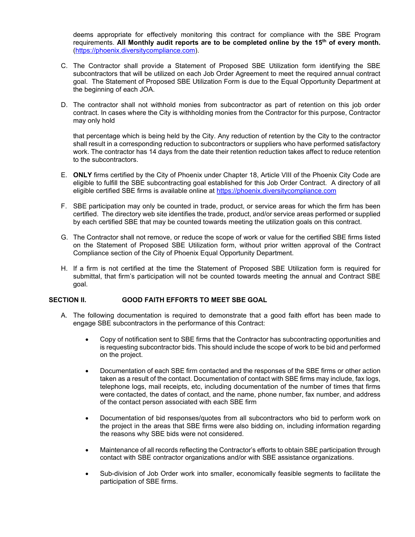deems appropriate for effectively monitoring this contract for compliance with the SBE Program requirements. **All Monthly audit reports are to be completed online by the 15th of every month.** [\(https://phoenix.diversitycompliance.com\)](http://www.phoenix.gov/mwsbe).

- C. The Contractor shall provide a Statement of Proposed SBE Utilization form identifying the SBE subcontractors that will be utilized on each Job Order Agreement to meet the required annual contract goal. The Statement of Proposed SBE Utilization Form is due to the Equal Opportunity Department at the beginning of each JOA.
- D. The contractor shall not withhold monies from subcontractor as part of retention on this job order contract. In cases where the City is withholding monies from the Contractor for this purpose, Contractor may only hold

that percentage which is being held by the City. Any reduction of retention by the City to the contractor shall result in a corresponding reduction to subcontractors or suppliers who have performed satisfactory work. The contractor has 14 days from the date their retention reduction takes affect to reduce retention to the subcontractors.

- E. **ONLY** firms certified by the City of Phoenix under Chapter 18, Article VIII of the Phoenix City Code are eligible to fulfill the SBE subcontracting goal established for this Job Order Contract.A directory of all eligible certified SBE firms is available online at [https://phoenix.diversitycompliance.com](http://www.phoenix.gov/mwsbe)
- F. SBE participation may only be counted in trade, product, or service areas for which the firm has been certified. The directory web site identifies the trade, product, and/or service areas performed or supplied by each certified SBE that may be counted towards meeting the utilization goals on this contract.
- G. The Contractor shall not remove, or reduce the scope of work or value for the certified SBE firms listed on the Statement of Proposed SBE Utilization form, without prior written approval of the Contract Compliance section of the City of Phoenix Equal Opportunity Department.
- H. If a firm is not certified at the time the Statement of Proposed SBE Utilization form is required for submittal, that firm's participation will not be counted towards meeting the annual and Contract SBE goal.

# **SECTION II. GOOD FAITH EFFORTS TO MEET SBE GOAL**

- A. The following documentation is required to demonstrate that a good faith effort has been made to engage SBE subcontractors in the performance of this Contract:
	- Copy of notification sent to SBE firms that the Contractor has subcontracting opportunities and is requesting subcontractor bids. This should include the scope of work to be bid and performed on the project.
	- Documentation of each SBE firm contacted and the responses of the SBE firms or other action taken as a result of the contact. Documentation of contact with SBE firms may include, fax logs, telephone logs, mail receipts, etc, including documentation of the number of times that firms were contacted, the dates of contact, and the name, phone number, fax number, and address of the contact person associated with each SBE firm
	- Documentation of bid responses/quotes from all subcontractors who bid to perform work on the project in the areas that SBE firms were also bidding on, including information regarding the reasons why SBE bids were not considered.
	- Maintenance of all records reflecting the Contractor's efforts to obtain SBE participation through contact with SBE contractor organizations and/or with SBE assistance organizations.
	- Sub-division of Job Order work into smaller, economically feasible segments to facilitate the participation of SBE firms.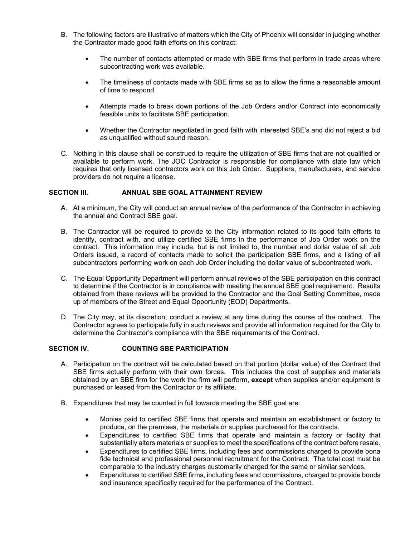- B. The following factors are illustrative of matters which the City of Phoenix will consider in judging whether the Contractor made good faith efforts on this contract:
	- The number of contacts attempted or made with SBE firms that perform in trade areas where subcontracting work was available.
	- The timeliness of contacts made with SBE firms so as to allow the firms a reasonable amount of time to respond.
	- Attempts made to break down portions of the Job Orders and/or Contract into economically feasible units to facilitate SBE participation.
	- Whether the Contractor negotiated in good faith with interested SBE's and did not reject a bid as unqualified without sound reason.
- C. Nothing in this clause shall be construed to require the utilization of SBE firms that are not qualified or available to perform work. The JOC Contractor is responsible for compliance with state law which requires that only licensed contractors work on this Job Order. Suppliers, manufacturers, and service providers do not require a license.

## **SECTION III. ANNUAL SBE GOAL ATTAINMENT REVIEW**

- A. At a minimum, the City will conduct an annual review of the performance of the Contractor in achieving the annual and Contract SBE goal.
- B. The Contractor will be required to provide to the City information related to its good faith efforts to identify, contract with, and utilize certified SBE firms in the performance of Job Order work on the contract. This information may include, but is not limited to, the number and dollar value of all Job Orders issued, a record of contacts made to solicit the participation SBE firms, and a listing of all subcontractors performing work on each Job Order including the dollar value of subcontracted work.
- C. The Equal Opportunity Department will perform annual reviews of the SBE participation on this contract to determine if the Contractor is in compliance with meeting the annual SBE goal requirement. Results obtained from these reviews will be provided to the Contractor and the Goal Setting Committee, made up of members of the Street and Equal Opportunity (EOD) Departments.
- D. The City may, at its discretion, conduct a review at any time during the course of the contract. The Contractor agrees to participate fully in such reviews and provide all information required for the City to determine the Contractor's compliance with the SBE requirements of the Contract.

# **SECTION IV. COUNTING SBE PARTICIPATION**

- A. Participation on the contract will be calculated based on that portion (dollar value) of the Contract that SBE firms actually perform with their own forces. This includes the cost of supplies and materials obtained by an SBE firm for the work the firm will perform, **except** when supplies and/or equipment is purchased or leased from the Contractor or its affiliate.
- B. Expenditures that may be counted in full towards meeting the SBE goal are:
	- Monies paid to certified SBE firms that operate and maintain an establishment or factory to produce, on the premises, the materials or supplies purchased for the contracts.
	- Expenditures to certified SBE firms that operate and maintain a factory or facility that substantially alters materials or supplies to meet the specifications of the contract before resale.
	- Expenditures to certified SBE firms, including fees and commissions charged to provide bona fide technical and professional personnel recruitment for the Contract. The total cost must be comparable to the industry charges customarily charged for the same or similar services.
	- Expenditures to certified SBE firms, including fees and commissions, charged to provide bonds and insurance specifically required for the performance of the Contract.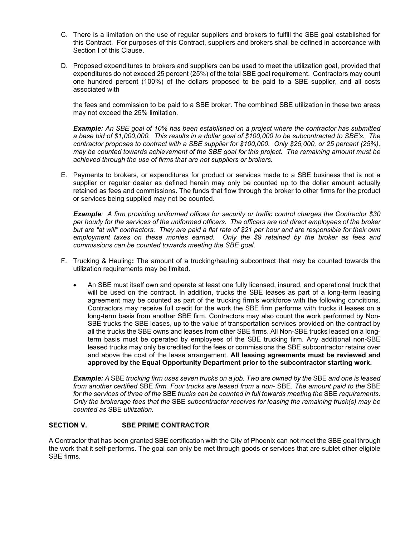- C. There is a limitation on the use of regular suppliers and brokers to fulfill the SBE goal established for this Contract. For purposes of this Contract, suppliers and brokers shall be defined in accordance with Section I of this Clause.
- D. Proposed expenditures to brokers and suppliers can be used to meet the utilization goal, provided that expenditures do not exceed 25 percent (25%) of the total SBE goal requirement. Contractors may count one hundred percent (100%) of the dollars proposed to be paid to a SBE supplier, and all costs associated with

the fees and commission to be paid to a SBE broker. The combined SBE utilization in these two areas may not exceed the 25% limitation.

*Example: An SBE goal of 10% has been established on a project where the contractor has submitted a base bid of \$1,000,000. This results in a dollar goal of \$100,000 to be subcontracted to SBE's. The contractor proposes to contract with a SBE supplier for \$100,000. Only \$25,000, or 25 percent (25%), may be counted towards achievement of the SBE goal for this project. The remaining amount must be achieved through the use of firms that are not suppliers or brokers.*

E. Payments to brokers, or expenditures for product or services made to a SBE business that is not a supplier or regular dealer as defined herein may only be counted up to the dollar amount actually retained as fees and commissions. The funds that flow through the broker to other firms for the product or services being supplied may not be counted.

*Example: A firm providing uniformed offices for security or traffic control charges the Contractor \$30 per hourly for the services of the uniformed officers. The officers are not direct employees of the broker but are "at will" contractors. They are paid a flat rate of \$21 per hour and are responsible for their own employment taxes on these monies earned. Only the \$9 retained by the broker as fees and commissions can be counted towards meeting the SBE goal.*

- F. Trucking & Hauling**:** The amount of a trucking/hauling subcontract that may be counted towards the utilization requirements may be limited.
	- An SBE must itself own and operate at least one fully licensed, insured, and operational truck that will be used on the contract. In addition, trucks the SBE leases as part of a long-term leasing agreement may be counted as part of the trucking firm's workforce with the following conditions. Contractors may receive full credit for the work the SBE firm performs with trucks it leases on a long-term basis from another SBE firm. Contractors may also count the work performed by Non-SBE trucks the SBE leases, up to the value of transportation services provided on the contract by all the trucks the SBE owns and leases from other SBE firms. All Non-SBE trucks leased on a longterm basis must be operated by employees of the SBE trucking firm. Any additional non-SBE leased trucks may only be credited for the fees or commissions the SBE subcontractor retains over and above the cost of the lease arrangement. **All leasing agreements must be reviewed and approved by the Equal Opportunity Department prior to the subcontractor starting work.**

*Example: A* SBE *trucking firm uses seven trucks on a job. Two are owned by the* SBE *and one is leased from another certified* SBE *firm. Four trucks are leased from a non-* SBE*. The amount paid to the* SBE *for the services of three of the* SBE *trucks can be counted in full towards meeting the* SBE *requirements. Only the brokerage fees that the* SBE *subcontractor receives for leasing the remaining truck(s) may be counted as* SBE *utilization.*

# **SECTION V. SBE PRIME CONTRACTOR**

A Contractor that has been granted SBE certification with the City of Phoenix can not meet the SBE goal through the work that it self-performs. The goal can only be met through goods or services that are sublet other eligible SBE firms.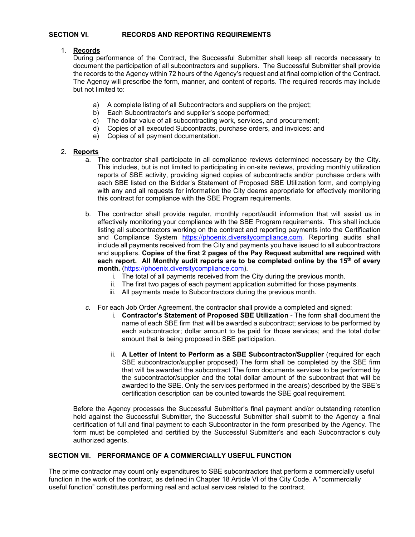## **SECTION VI. RECORDS AND REPORTING REQUIREMENTS**

## 1. **Records**

During performance of the Contract, the Successful Submitter shall keep all records necessary to document the participation of all subcontractors and suppliers. The Successful Submitter shall provide the records to the Agency within 72 hours of the Agency's request and at final completion of the Contract. The Agency will prescribe the form, manner, and content of reports. The required records may include but not limited to:

- a) A complete listing of all Subcontractors and suppliers on the project;
- b) Each Subcontractor's and supplier's scope performed;
- c) The dollar value of all subcontracting work, services, and procurement;
- d) Copies of all executed Subcontracts, purchase orders, and invoices: and
- e) Copies of all payment documentation.

# 2. **Reports**

- a. The contractor shall participate in all compliance reviews determined necessary by the City. This includes, but is not limited to participating in on-site reviews, providing monthly utilization reports of SBE activity, providing signed copies of subcontracts and/or purchase orders with each SBE listed on the Bidder's Statement of Proposed SBE Utilization form, and complying with any and all requests for information the City deems appropriate for effectively monitoring this contract for compliance with the SBE Program requirements.
- b. The contractor shall provide regular, monthly report/audit information that will assist us in effectively monitoring your compliance with the SBE Program requirements. This shall include listing all subcontractors working on the contract and reporting payments into the Certification and Compliance System [https://phoenix.diversitycompliance.com.](https://phoenix.diversitycompliance.com/) Reporting audits shall include all payments received from the City and payments you have issued to all subcontractors and suppliers. **Copies of the first 2 pages of the Pay Request submittal are required with each report. All Monthly audit reports are to be completed online by the 15th of every month.** [\(https://phoenix.diversitycompliance.com\)](http://www.phoenix.gov/mwsbe).
	- i. The total of all payments received from the City during the previous month.
	- ii. The first two pages of each payment application submitted for those payments.
	- iii. All payments made to Subcontractors during the previous month.
- *c.* For each Job Order Agreement, the contractor shall provide a completed and signed:
	- i. **Contractor's Statement of Proposed SBE Utilization** The form shall document the name of each SBE firm that will be awarded a subcontract; services to be performed by each subcontractor; dollar amount to be paid for those services; and the total dollar amount that is being proposed in SBE participation.
	- ii. **A Letter of Intent to Perform as a SBE Subcontractor/Supplier** (required for each SBE subcontractor/supplier proposed) The form shall be completed by the SBE firm that will be awarded the subcontract The form documents services to be performed by the subcontractor/suppler and the total dollar amount of the subcontract that will be awarded to the SBE. Only the services performed in the area(s) described by the SBE's certification description can be counted towards the SBE goal requirement.

Before the Agency processes the Successful Submitter's final payment and/or outstanding retention held against the Successful Submitter, the Successful Submitter shall submit to the Agency a final certification of full and final payment to each Subcontractor in the form prescribed by the Agency. The form must be completed and certified by the Successful Submitter's and each Subcontractor's duly authorized agents.

# **SECTION VII. PERFORMANCE OF A COMMERCIALLY USEFUL FUNCTION**

The prime contractor may count only expenditures to SBE subcontractors that perform a commercially useful function in the work of the contract, as defined in Chapter 18 Article VI of the City Code. A "commercially useful function" constitutes performing real and actual services related to the contract.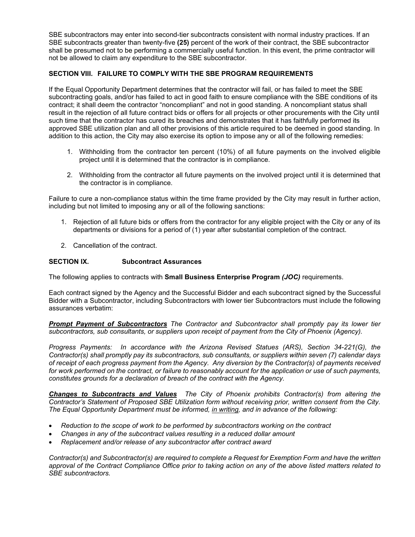SBE subcontractors may enter into second-tier subcontracts consistent with normal industry practices. If an SBE subcontracts greater than twenty-five **(25)** percent of the work of their contract, the SBE subcontractor shall be presumed not to be performing a commercially useful function. In this event, the prime contractor will not be allowed to claim any expenditure to the SBE subcontractor.

# **SECTION VIII. FAILURE TO COMPLY WITH THE SBE PROGRAM REQUIREMENTS**

If the Equal Opportunity Department determines that the contractor will fail, or has failed to meet the SBE subcontracting goals, and/or has failed to act in good faith to ensure compliance with the SBE conditions of its contract; it shall deem the contractor "noncompliant" and not in good standing. A noncompliant status shall result in the rejection of all future contract bids or offers for all projects or other procurements with the City until such time that the contractor has cured its breaches and demonstrates that it has faithfully performed its approved SBE utilization plan and all other provisions of this article required to be deemed in good standing. In addition to this action, the City may also exercise its option to impose any or all of the following remedies:

- 1. Withholding from the contractor ten percent (10%) of all future payments on the involved eligible project until it is determined that the contractor is in compliance.
- 2. Withholding from the contractor all future payments on the involved project until it is determined that the contractor is in compliance.

Failure to cure a non-compliance status within the time frame provided by the City may result in further action, including but not limited to imposing any or all of the following sanctions:

- 1. Rejection of all future bids or offers from the contractor for any eligible project with the City or any of its departments or divisions for a period of (1) year after substantial completion of the contract.
- 2. Cancellation of the contract.

# **SECTION IX. Subcontract Assurances**

The following applies to contracts with **Small Business Enterprise Program** *(JOC)* requirements.

Each contract signed by the Agency and the Successful Bidder and each subcontract signed by the Successful Bidder with a Subcontractor, including Subcontractors with lower tier Subcontractors must include the following assurances verbatim:

*Prompt Payment of Subcontractors The Contractor and Subcontractor shall promptly pay its lower tier subcontractors, sub consultants, or suppliers upon receipt of payment from the City of Phoenix (Agency).*

*Progress Payments: In accordance with the Arizona Revised Statues (ARS), Section 34-221(G), the Contractor(s) shall promptly pay its subcontractors, sub consultants, or suppliers within seven (7) calendar days of receipt of each progress payment from the Agency. Any diversion by the Contractor(s) of payments received*  for work performed on the contract, or failure to reasonably account for the application or use of such payments, *constitutes grounds for a declaration of breach of the contract with the Agency.*

*Changes to Subcontracts and Values The City of Phoenix prohibits Contractor(s) from altering the Contractor's Statement of Proposed SBE Utilization form without receiving prior, written consent from the City. The Equal Opportunity Department must be informed, in writing, and in advance of the following:*

- *Reduction to the scope of work to be performed by subcontractors working on the contract*
- *Changes in any of the subcontract values resulting in a reduced dollar amount*
- *Replacement and/or release of any subcontractor after contract award*

*Contractor(s) and Subcontractor(s) are required to complete a Request for Exemption Form and have the written approval of the Contract Compliance Office prior to taking action on any of the above listed matters related to SBE subcontractors.*